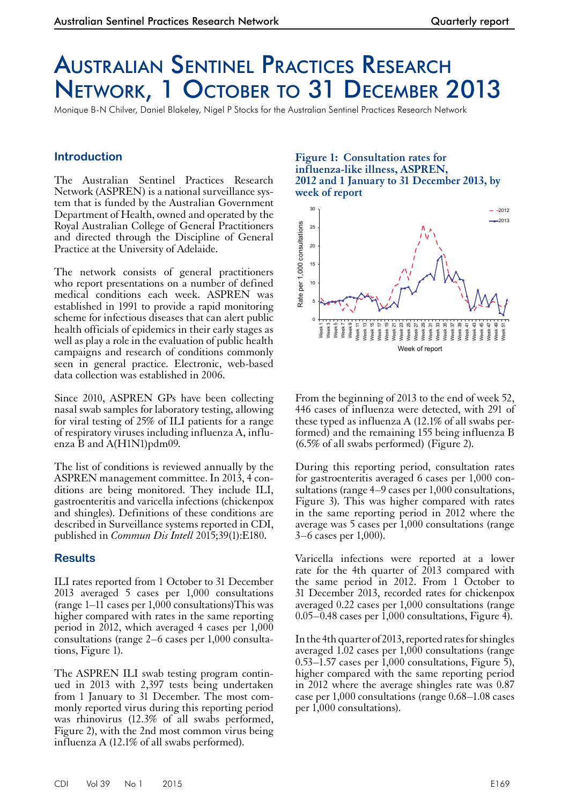# Australian Sentinel Practices Research Network, 1 October to 31 December 2013

Monique B-N Chilver, Daniel Blakeley, Nigel P Stocks for the Australian Sentinel Practices Research Network

### **Introduction**

The Australian Sentinel Practices Research Network (ASPREN) is a national surveillance system that is funded by the Australian Government Department of Health, owned and operated by the Royal Australian College of General Practitioners and directed through the Discipline of General Practice at the University of Adelaide.

The network consists of general practitioners who report presentations on a number of defined medical conditions each week. ASPREN was established in 1991 to provide a rapid monitoring scheme for infectious diseases that can alert public health officials of epidemics in their early stages as well as play a role in the evaluation of public health campaigns and research of conditions commonly seen in general practice. Electronic, web-based data collection was established in 2006.

Since 2010, ASPREN GPs have been collecting nasal swab samples for laboratory testing, allowing for viral testing of 25% of ILI patients for a range of respiratory viruses including influenza A, influenza B and A(H1N1)pdm09.

The list of conditions is reviewed annually by the ASPREN management committee. In 2013, 4 con- ditions are being monitored. They include ILI, gastroenteritis and varicella infections (chickenpox and shingles). Definitions of these conditions are described in Surveillance systems reported in CDI, published in *Commun Dis Intell* 2015;39(1):E180.

#### **Results**

ILI rates reported from 1 October to 31 December 2013 averaged 5 cases per 1,000 consultations (range 1–11 cases per  $1,000$  consultations) This was higher compared with rates in the same reporting period in 2012, which averaged 4 cases per 1,000 consultations (range 2–6 cases per 1,000 consulta- tions, Figure 1).

The ASPREN ILI swab testing program contin- ued in 2013 with 2,397 tests being undertaken from 1 January to 31 December. The most commonly reported virus during this reporting period was rhinovirus (12.3% of all swabs performed, Figure 2), with the 2nd most common virus being influenza A (12.1% of all swabs performed).

#### **Figure 1: Consultation rates for influenza-like illness, ASPREN, 2012 and 1 January to 31 December 2013, by week of report**



From the beginning of 2013 to the end of week 52, 446 cases of influenza were detected, with 291 of these typed as influenza A (12.1% of all swabs performed) and the remaining 155 being influenza B (6.5% of all swabs performed) (Figure 2).

During this reporting period, consultation rates for gastroenteritis averaged 6 cases per 1,000 con-<br>sultations (range 4–9 cases per 1,000 consultations, Figure 3). This was higher compared with rates in the same reporting period in 2012 where the average was 5 cases per 1,000 consultations (range 3–6 cases per 1,000).

Varicella infections were reported at a lower rate for the 4th quarter of 2013 compared with the same period in 2012. From 1 October to 31 December 2013, recorded rates for chickenpox averaged 0.22 cases per 1,000 consultations (range  $0.05-0.48$  cases per 1,000 consultations, Figure 4).

In the 4th quarter of 2013, reported rates for shingles averaged 1.02 cases per 1,000 consultations (range 0.53–1.57 cases per 1,000 consultations, Figure 5), higher compared with the same reporting period in 2012 where the average shingles rate was 0.87 case per 1,000 consultations (range 0.68–1.08 cases per 1,000 consultations).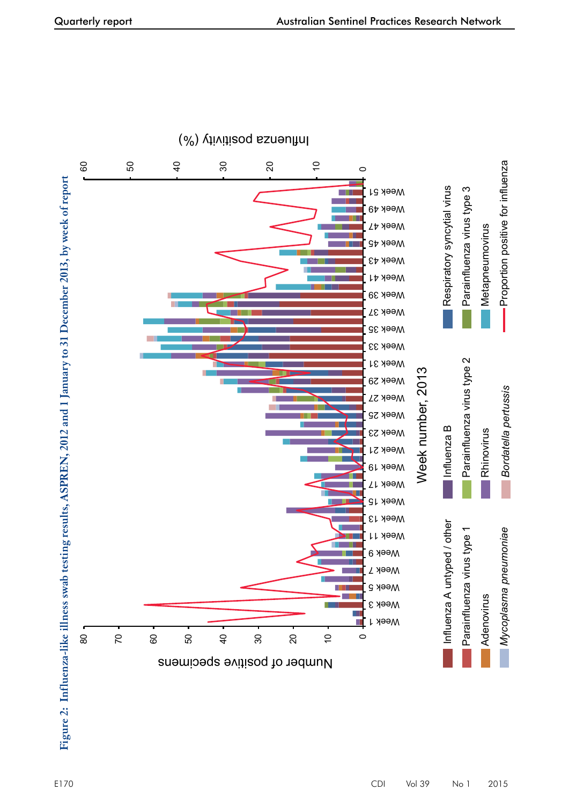



## $(\%)$  ( $\frac{1}{2}$  )  $\frac{1}{2}$  ( $\frac{1}{2}$  od ezuən $\frac{1}{2}$  u